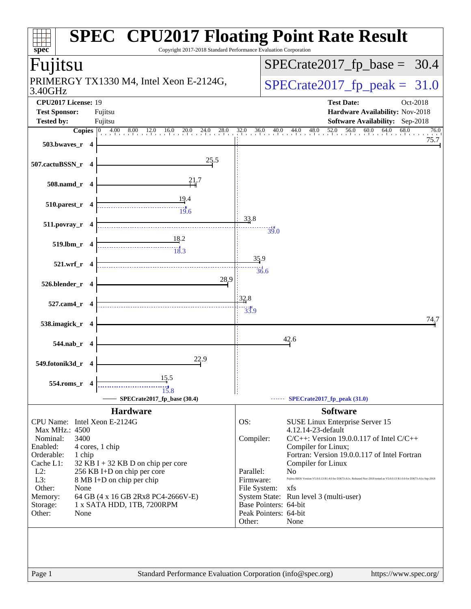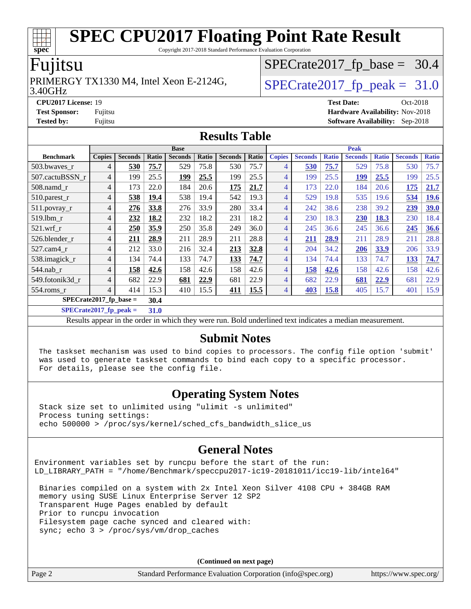Copyright 2017-2018 Standard Performance Evaluation Corporation

#### Fujitsu

#### 3.40GHz PRIMERGY TX1330 M4, Intel Xeon E-2124G,  $\vert$  [SPECrate2017\\_fp\\_peak =](http://www.spec.org/auto/cpu2017/Docs/result-fields.html#SPECrate2017fppeak) 31.0

 $SPECTate2017_fp\_base = 30.4$ 

**[CPU2017 License:](http://www.spec.org/auto/cpu2017/Docs/result-fields.html#CPU2017License)** 19 **[Test Date:](http://www.spec.org/auto/cpu2017/Docs/result-fields.html#TestDate)** Oct-2018 **[Test Sponsor:](http://www.spec.org/auto/cpu2017/Docs/result-fields.html#TestSponsor)** Fujitsu **[Hardware Availability:](http://www.spec.org/auto/cpu2017/Docs/result-fields.html#HardwareAvailability)** Nov-2018 **[Tested by:](http://www.spec.org/auto/cpu2017/Docs/result-fields.html#Testedby)** Fujitsu **[Software Availability:](http://www.spec.org/auto/cpu2017/Docs/result-fields.html#SoftwareAvailability)** Sep-2018

#### **[Results Table](http://www.spec.org/auto/cpu2017/Docs/result-fields.html#ResultsTable)**

|                           | <b>Base</b>    |                |       |                |       | <b>Peak</b>    |       |                |                |              |                |              |                |              |
|---------------------------|----------------|----------------|-------|----------------|-------|----------------|-------|----------------|----------------|--------------|----------------|--------------|----------------|--------------|
| <b>Benchmark</b>          | <b>Copies</b>  | <b>Seconds</b> | Ratio | <b>Seconds</b> | Ratio | <b>Seconds</b> | Ratio | <b>Copies</b>  | <b>Seconds</b> | <b>Ratio</b> | <b>Seconds</b> | <b>Ratio</b> | <b>Seconds</b> | <b>Ratio</b> |
| 503.bwaves_r              | 4              | 530            | 75.7  | 529            | 75.8  | 530            | 75.7  | 4              | 530            | 75.7         | 529            | 75.8         | 530            | 75.7         |
| 507.cactuBSSN r           | 4              | 199            | 25.5  | 199            | 25.5  | 199            | 25.5  | $\overline{4}$ | 199            | 25.5         | 199            | 25.5         | 199            | 25.5         |
| $508$ .namd $_r$          | 4              | 173            | 22.0  | 184            | 20.6  | 175            | 21.7  | 4              | 173            | 22.0         | 184            | 20.6         | 175            | 21.7         |
| 510.parest_r              | 4              | 538            | 19.4  | 538            | 19.4  | 542            | 19.3  | 4              | 529            | 19.8         | 535            | 19.6         | 534            | 19.6         |
| 511.povray_r              | 4              | 276            | 33.8  | 276            | 33.9  | 280            | 33.4  | 4              | 242            | 38.6         | 238            | 39.2         | 239            | 39.0         |
| 519.lbm r                 | 4              | 232            | 18.2  | 232            | 18.2  | 231            | 18.2  | 4              | 230            | 18.3         | 230            | 18.3         | 230            | 18.4         |
| $521$ .wrf r              | 4              | 250            | 35.9  | 250            | 35.8  | 249            | 36.0  | 4              | 245            | 36.6         | 245            | 36.6         | 245            | 36.6         |
| 526.blender_r             | 4              | 211            | 28.9  | 211            | 28.9  | 211            | 28.8  | 4              | 211            | 28.9         | 211            | 28.9         | 211            | 28.8         |
| 527.cam4 r                | 4              | 212            | 33.0  | 216            | 32.4  | 213            | 32.8  | 4              | 204            | 34.2         | 206            | 33.9         | 206            | 33.9         |
| 538.imagick_r             | 4              | 134            | 74.4  | 133            | 74.7  | 133            | 74.7  | 4              | 134            | 74.4         | 133            | 74.7         | 133            | 74.7         |
| $544$ .nab_r              | $\overline{4}$ | 158            | 42.6  | 158            | 42.6  | 158            | 42.6  | 4              | 158            | 42.6         | 158            | 42.6         | 158            | 42.6         |
| 549.fotonik3d r           | 4              | 682            | 22.9  | 681            | 22.9  | 681            | 22.9  | 4              | 682            | 22.9         | 681            | 22.9         | 681            | 22.9         |
| $554$ .roms $r$           | $\overline{4}$ | 414            | 15.3  | 410            | 15.5  | <b>411</b>     | 15.5  | 4              | 403            | 15.8         | 405            | 15.7         | 401            | 15.9         |
| $SPECrate2017_fp\_base =$ |                |                | 30.4  |                |       |                |       |                |                |              |                |              |                |              |

**[SPECrate2017\\_fp\\_peak =](http://www.spec.org/auto/cpu2017/Docs/result-fields.html#SPECrate2017fppeak) 31.0**

Results appear in the [order in which they were run](http://www.spec.org/auto/cpu2017/Docs/result-fields.html#RunOrder). Bold underlined text [indicates a median measurement](http://www.spec.org/auto/cpu2017/Docs/result-fields.html#Median).

#### **[Submit Notes](http://www.spec.org/auto/cpu2017/Docs/result-fields.html#SubmitNotes)**

 The taskset mechanism was used to bind copies to processors. The config file option 'submit' was used to generate taskset commands to bind each copy to a specific processor. For details, please see the config file.

#### **[Operating System Notes](http://www.spec.org/auto/cpu2017/Docs/result-fields.html#OperatingSystemNotes)**

 Stack size set to unlimited using "ulimit -s unlimited" Process tuning settings: echo 500000 > /proc/sys/kernel/sched\_cfs\_bandwidth\_slice\_us

#### **[General Notes](http://www.spec.org/auto/cpu2017/Docs/result-fields.html#GeneralNotes)**

Environment variables set by runcpu before the start of the run: LD\_LIBRARY\_PATH = "/home/Benchmark/speccpu2017-ic19-20181011/icc19-lib/intel64"

 Binaries compiled on a system with 2x Intel Xeon Silver 4108 CPU + 384GB RAM memory using SUSE Linux Enterprise Server 12 SP2 Transparent Huge Pages enabled by default Prior to runcpu invocation Filesystem page cache synced and cleared with: sync; echo 3 > /proc/sys/vm/drop\_caches

**(Continued on next page)**

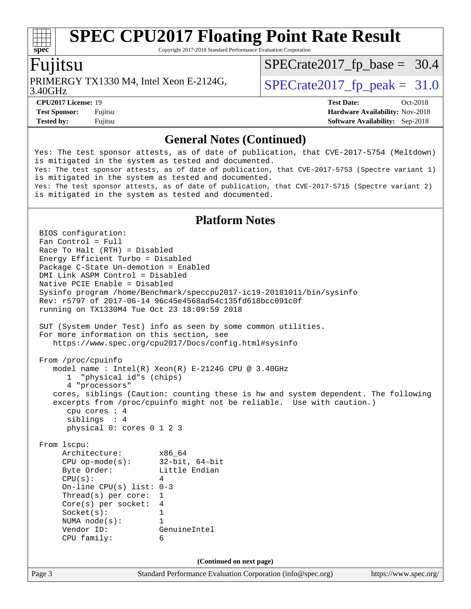Copyright 2017-2018 Standard Performance Evaluation Corporation

#### Fujitsu

**[spec](http://www.spec.org/)**

3.40GHz PRIMERGY TX1330 M4, Intel Xeon E-2124G,  $\vert$  [SPECrate2017\\_fp\\_peak =](http://www.spec.org/auto/cpu2017/Docs/result-fields.html#SPECrate2017fppeak) 31.0

 $SPECTate2017_fp\_base = 30.4$ 

**[CPU2017 License:](http://www.spec.org/auto/cpu2017/Docs/result-fields.html#CPU2017License)** 19 **[Test Date:](http://www.spec.org/auto/cpu2017/Docs/result-fields.html#TestDate)** Oct-2018 **[Test Sponsor:](http://www.spec.org/auto/cpu2017/Docs/result-fields.html#TestSponsor)** Fujitsu **[Hardware Availability:](http://www.spec.org/auto/cpu2017/Docs/result-fields.html#HardwareAvailability)** Nov-2018 **[Tested by:](http://www.spec.org/auto/cpu2017/Docs/result-fields.html#Testedby)** Fujitsu **[Software Availability:](http://www.spec.org/auto/cpu2017/Docs/result-fields.html#SoftwareAvailability)** Sep-2018

#### **[General Notes \(Continued\)](http://www.spec.org/auto/cpu2017/Docs/result-fields.html#GeneralNotes)**

Yes: The test sponsor attests, as of date of publication, that CVE-2017-5754 (Meltdown) is mitigated in the system as tested and documented. Yes: The test sponsor attests, as of date of publication, that CVE-2017-5753 (Spectre variant 1) is mitigated in the system as tested and documented. Yes: The test sponsor attests, as of date of publication, that CVE-2017-5715 (Spectre variant 2) is mitigated in the system as tested and documented.

#### **[Platform Notes](http://www.spec.org/auto/cpu2017/Docs/result-fields.html#PlatformNotes)**

Page 3 Standard Performance Evaluation Corporation [\(info@spec.org\)](mailto:info@spec.org) <https://www.spec.org/> BIOS configuration: Fan Control = Full Race To Halt (RTH) = Disabled Energy Efficient Turbo = Disabled Package C-State Un-demotion = Enabled DMI Link ASPM Control = Disabled Native PCIE Enable = Disabled Sysinfo program /home/Benchmark/speccpu2017-ic19-20181011/bin/sysinfo Rev: r5797 of 2017-06-14 96c45e4568ad54c135fd618bcc091c0f running on TX1330M4 Tue Oct 23 18:09:59 2018 SUT (System Under Test) info as seen by some common utilities. For more information on this section, see <https://www.spec.org/cpu2017/Docs/config.html#sysinfo> From /proc/cpuinfo model name : Intel(R) Xeon(R) E-2124G CPU @ 3.40GHz 1 "physical id"s (chips) 4 "processors" cores, siblings (Caution: counting these is hw and system dependent. The following excerpts from /proc/cpuinfo might not be reliable. Use with caution.) cpu cores : 4 siblings : 4 physical 0: cores 0 1 2 3 From lscpu: Architecture: x86\_64 CPU op-mode(s): 32-bit, 64-bit Byte Order: Little Endian  $CPU(s):$  4 On-line CPU(s) list: 0-3 Thread(s) per core: 1 Core(s) per socket: 4 Socket(s): 1 NUMA node(s): 1 Vendor ID: GenuineIntel CPU family: 6 **(Continued on next page)**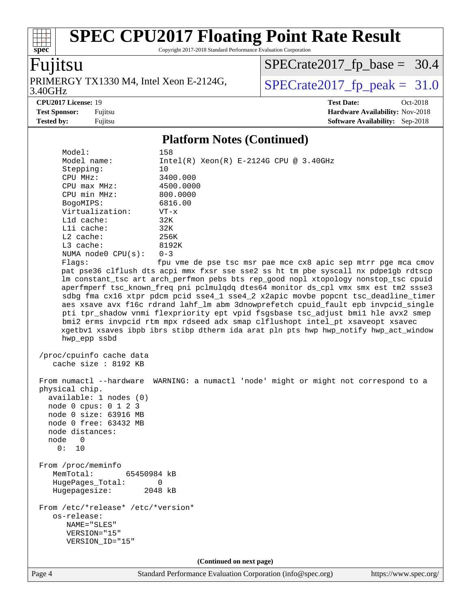Copyright 2017-2018 Standard Performance Evaluation Corporation

# Fujitsu

**[spec](http://www.spec.org/)**

3.40GHz PRIMERGY TX1330 M4, Intel Xeon E-2124G,  $\big|$  [SPECrate2017\\_fp\\_peak =](http://www.spec.org/auto/cpu2017/Docs/result-fields.html#SPECrate2017fppeak) 31.0

[SPECrate2017\\_fp\\_base =](http://www.spec.org/auto/cpu2017/Docs/result-fields.html#SPECrate2017fpbase) 30.4

**[Tested by:](http://www.spec.org/auto/cpu2017/Docs/result-fields.html#Testedby)** Fujitsu **[Software Availability:](http://www.spec.org/auto/cpu2017/Docs/result-fields.html#SoftwareAvailability)** Sep-2018

**[CPU2017 License:](http://www.spec.org/auto/cpu2017/Docs/result-fields.html#CPU2017License)** 19 **[Test Date:](http://www.spec.org/auto/cpu2017/Docs/result-fields.html#TestDate)** Oct-2018 **[Test Sponsor:](http://www.spec.org/auto/cpu2017/Docs/result-fields.html#TestSponsor)** Fujitsu **[Hardware Availability:](http://www.spec.org/auto/cpu2017/Docs/result-fields.html#HardwareAvailability)** Nov-2018

### **[Platform Notes \(Continued\)](http://www.spec.org/auto/cpu2017/Docs/result-fields.html#PlatformNotes)**

| Model:<br>Model name:<br>Stepping:<br>CPU MHz:<br>$CPU$ max $MHz$ :<br>CPU min MHz:<br>BogoMIPS:<br>Virtualization:<br>L1d cache:<br>Lli cache:<br>L2 cache:<br>L3 cache:<br>NUMA node0 CPU(s):<br>Flagg:<br>hwp_epp ssbd | 158<br>10<br>3400.000<br>4500.0000<br>800.0000<br>6816.00<br>$VT - x$<br>32K<br>32K<br>256K<br>8192K<br>$0 - 3$ | $Intel(R) Xeon(R) E-2124G CPU @ 3.40GHz$ | fpu vme de pse tsc msr pae mce cx8 apic sep mtrr pge mca cmov<br>pat pse36 clflush dts acpi mmx fxsr sse sse2 ss ht tm pbe syscall nx pdpe1gb rdtscp<br>lm constant_tsc art arch_perfmon pebs bts rep_good nopl xtopology nonstop_tsc cpuid<br>aperfmperf tsc_known_freq pni pclmulqdq dtes64 monitor ds_cpl vmx smx est tm2 ssse3<br>sdbg fma cx16 xtpr pdcm pcid sse4_1 sse4_2 x2apic movbe popcnt tsc_deadline_timer<br>aes xsave avx f16c rdrand lahf_lm abm 3dnowprefetch cpuid_fault epb invpcid_single<br>pti tpr_shadow vnmi flexpriority ept vpid fsgsbase tsc_adjust bmil hle avx2 smep<br>bmi2 erms invpcid rtm mpx rdseed adx smap clflushopt intel_pt xsaveopt xsavec<br>xgetbvl xsaves ibpb ibrs stibp dtherm ida arat pln pts hwp hwp_notify hwp_act_window |  |  |  |
|---------------------------------------------------------------------------------------------------------------------------------------------------------------------------------------------------------------------------|-----------------------------------------------------------------------------------------------------------------|------------------------------------------|----------------------------------------------------------------------------------------------------------------------------------------------------------------------------------------------------------------------------------------------------------------------------------------------------------------------------------------------------------------------------------------------------------------------------------------------------------------------------------------------------------------------------------------------------------------------------------------------------------------------------------------------------------------------------------------------------------------------------------------------------------------------------|--|--|--|
| /proc/cpuinfo cache data<br>cache size : 8192 KB                                                                                                                                                                          |                                                                                                                 |                                          |                                                                                                                                                                                                                                                                                                                                                                                                                                                                                                                                                                                                                                                                                                                                                                            |  |  |  |
| From numactl --hardware<br>physical chip.<br>available: 1 nodes (0)<br>node 0 cpus: 0 1 2 3<br>node 0 size: 63916 MB<br>node 0 free: 63432 MB<br>node distances:<br>node<br>$\overline{0}$<br>0: 10                       |                                                                                                                 |                                          | WARNING: a numactl 'node' might or might not correspond to a                                                                                                                                                                                                                                                                                                                                                                                                                                                                                                                                                                                                                                                                                                               |  |  |  |
| From /proc/meminfo<br>MemTotal:<br>65450984 kB<br>HugePages_Total:<br>Hugepagesize:                                                                                                                                       | 0<br>2048 kB                                                                                                    |                                          |                                                                                                                                                                                                                                                                                                                                                                                                                                                                                                                                                                                                                                                                                                                                                                            |  |  |  |
| From /etc/*release* /etc/*version*<br>os-release:<br>NAME="SLES"<br>VERSION="15"<br>VERSION_ID="15"                                                                                                                       |                                                                                                                 |                                          |                                                                                                                                                                                                                                                                                                                                                                                                                                                                                                                                                                                                                                                                                                                                                                            |  |  |  |
| (Continued on next page)                                                                                                                                                                                                  |                                                                                                                 |                                          |                                                                                                                                                                                                                                                                                                                                                                                                                                                                                                                                                                                                                                                                                                                                                                            |  |  |  |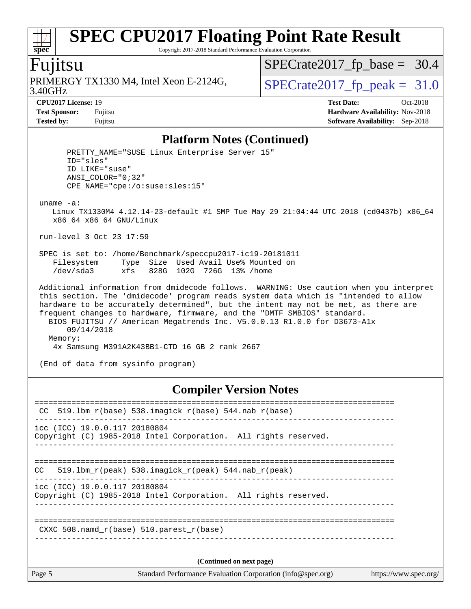Copyright 2017-2018 Standard Performance Evaluation Corporation

### Fujitsu

**[spec](http://www.spec.org/)**

 $+\ +$ 

3.40GHz PRIMERGY TX1330 M4, Intel Xeon E-2124G,  $\big|$  [SPECrate2017\\_fp\\_peak =](http://www.spec.org/auto/cpu2017/Docs/result-fields.html#SPECrate2017fppeak) 31.0

[SPECrate2017\\_fp\\_base =](http://www.spec.org/auto/cpu2017/Docs/result-fields.html#SPECrate2017fpbase) 30.4

**[CPU2017 License:](http://www.spec.org/auto/cpu2017/Docs/result-fields.html#CPU2017License)** 19 **[Test Date:](http://www.spec.org/auto/cpu2017/Docs/result-fields.html#TestDate)** Oct-2018 **[Test Sponsor:](http://www.spec.org/auto/cpu2017/Docs/result-fields.html#TestSponsor)** Fujitsu **[Hardware Availability:](http://www.spec.org/auto/cpu2017/Docs/result-fields.html#HardwareAvailability)** Nov-2018 **[Tested by:](http://www.spec.org/auto/cpu2017/Docs/result-fields.html#Testedby)** Fujitsu **[Software Availability:](http://www.spec.org/auto/cpu2017/Docs/result-fields.html#SoftwareAvailability)** Sep-2018

#### **[Platform Notes \(Continued\)](http://www.spec.org/auto/cpu2017/Docs/result-fields.html#PlatformNotes)**

| PRETTY NAME="SUSE Linux Enterprise Server 15"<br>$ID="sles"$<br>ID LIKE="suse"<br>ANSI COLOR="0;32"<br>CPE NAME="cpe:/o:suse:sles:15"                                                                                                                                                                                                                                                                                                                                                               |
|-----------------------------------------------------------------------------------------------------------------------------------------------------------------------------------------------------------------------------------------------------------------------------------------------------------------------------------------------------------------------------------------------------------------------------------------------------------------------------------------------------|
| $uname -a$ :<br>Linux TX1330M4 4.12.14-23-default #1 SMP Tue May 29 21:04:44 UTC 2018 (cd0437b) x86 64<br>x86 64 x86 64 GNU/Linux                                                                                                                                                                                                                                                                                                                                                                   |
| run-level 3 Oct 23 17:59                                                                                                                                                                                                                                                                                                                                                                                                                                                                            |
| SPEC is set to: /home/Benchmark/speccpu2017-ic19-20181011<br>Type Size Used Avail Use% Mounted on<br>Filesystem<br>/dev/sda3 xfs 828G 102G 726G 13% /home                                                                                                                                                                                                                                                                                                                                           |
| Additional information from dmidecode follows. WARNING: Use caution when you interpret<br>this section. The 'dmidecode' program reads system data which is "intended to allow<br>hardware to be accurately determined", but the intent may not be met, as there are<br>frequent changes to hardware, firmware, and the "DMTF SMBIOS" standard.<br>BIOS FUJITSU // American Megatrends Inc. V5.0.0.13 R1.0.0 for D3673-Alx<br>09/14/2018<br>Memory:<br>4x Samsung M391A2K43BB1-CTD 16 GB 2 rank 2667 |
| (End of data from sysinfo program)                                                                                                                                                                                                                                                                                                                                                                                                                                                                  |

#### **[Compiler Version Notes](http://www.spec.org/auto/cpu2017/Docs/result-fields.html#CompilerVersionNotes)**

| Page 5                        | Standard Performance Evaluation Corporation (info@spec.org)                    | https://www.spec.org/ |
|-------------------------------|--------------------------------------------------------------------------------|-----------------------|
|                               | (Continued on next page)                                                       |                       |
|                               | CXXC 508. namd $r(base)$ 510. parest $r(base)$                                 |                       |
| icc (ICC) 19.0.0.117 20180804 | Copyright (C) 1985-2018 Intel Corporation. All rights reserved.                |                       |
| <b>CC</b>                     | 519.1bm $r(\text{peak})$ 538.imagick $r(\text{peak})$ 544.nab $r(\text{peak})$ |                       |
| icc (ICC) 19.0.0.117 20180804 | Copyright (C) 1985-2018 Intel Corporation. All rights reserved.                |                       |
| CC.                           | $519.1$ bm_r(base) 538.imagick_r(base) 544.nab_r(base)                         |                       |
|                               |                                                                                |                       |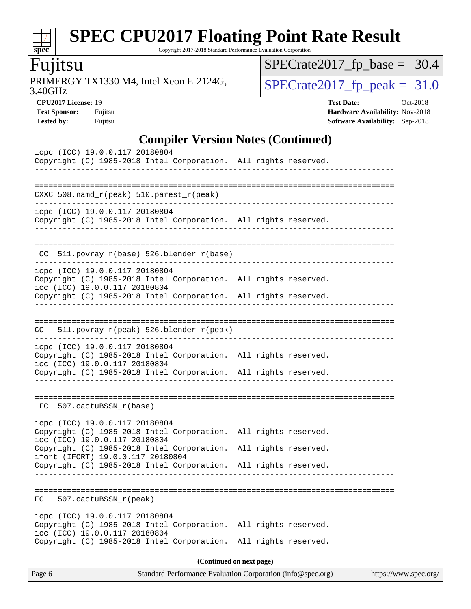Copyright 2017-2018 Standard Performance Evaluation Corporation

# Fujitsu

**[spec](http://www.spec.org/)**

 $\pm$ 

3.40GHz PRIMERGY TX1330 M4, Intel Xeon E-2124G,  $\big|$  [SPECrate2017\\_fp\\_peak =](http://www.spec.org/auto/cpu2017/Docs/result-fields.html#SPECrate2017fppeak) 31.0

[SPECrate2017\\_fp\\_base =](http://www.spec.org/auto/cpu2017/Docs/result-fields.html#SPECrate2017fpbase) 30.4

**[Test Sponsor:](http://www.spec.org/auto/cpu2017/Docs/result-fields.html#TestSponsor)** Fujitsu **[Hardware Availability:](http://www.spec.org/auto/cpu2017/Docs/result-fields.html#HardwareAvailability)** Nov-2018 **[Tested by:](http://www.spec.org/auto/cpu2017/Docs/result-fields.html#Testedby)** Fujitsu **[Software Availability:](http://www.spec.org/auto/cpu2017/Docs/result-fields.html#SoftwareAvailability)** Sep-2018

**[CPU2017 License:](http://www.spec.org/auto/cpu2017/Docs/result-fields.html#CPU2017License)** 19 **[Test Date:](http://www.spec.org/auto/cpu2017/Docs/result-fields.html#TestDate)** Oct-2018

**[Compiler Version Notes \(Continued\)](http://www.spec.org/auto/cpu2017/Docs/result-fields.html#CompilerVersionNotes)**

|                                                                                                   | $\mathbf{Complement}$ version troits (Commutu) |
|---------------------------------------------------------------------------------------------------|------------------------------------------------|
| icpc (ICC) 19.0.0.117 20180804<br>Copyright (C) 1985-2018 Intel Corporation. All rights reserved. |                                                |
| -----------                                                                                       |                                                |
|                                                                                                   |                                                |
| CXXC 508.namd_r(peak) 510.parest_r(peak)                                                          |                                                |
| icpc (ICC) 19.0.0.117 20180804<br>Copyright (C) 1985-2018 Intel Corporation. All rights reserved. |                                                |
| .                                                                                                 |                                                |
|                                                                                                   |                                                |
| CC 511.povray_r(base) 526.blender_r(base)                                                         |                                                |
| icpc (ICC) 19.0.0.117 20180804                                                                    |                                                |
| Copyright (C) 1985-2018 Intel Corporation. All rights reserved.<br>icc (ICC) 19.0.0.117 20180804  |                                                |
| Copyright (C) 1985-2018 Intel Corporation. All rights reserved.                                   |                                                |
|                                                                                                   |                                                |
| 511.povray_r(peak) 526.blender_r(peak)<br>CC                                                      |                                                |
| icpc (ICC) 19.0.0.117 20180804                                                                    |                                                |
| Copyright (C) 1985-2018 Intel Corporation. All rights reserved.                                   |                                                |
| icc (ICC) 19.0.0.117 20180804<br>Copyright (C) 1985-2018 Intel Corporation. All rights reserved.  |                                                |
|                                                                                                   |                                                |
|                                                                                                   |                                                |
| FC 507.cactuBSSN_r(base)                                                                          |                                                |
| icpc (ICC) 19.0.0.117 20180804<br>Copyright (C) 1985-2018 Intel Corporation. All rights reserved. |                                                |
| icc (ICC) 19.0.0.117 20180804                                                                     |                                                |
| Copyright (C) 1985-2018 Intel Corporation.<br>ifort (IFORT) 19.0.0.117 20180804                   | All rights reserved.                           |
| Copyright (C) 1985-2018 Intel Corporation.                                                        | All rights reserved.                           |
|                                                                                                   |                                                |
| FC<br>507.cactuBSSN_r(peak)                                                                       |                                                |
| icpc (ICC) 19.0.0.117 20180804                                                                    |                                                |
| Copyright (C) 1985-2018 Intel Corporation. All rights reserved.                                   |                                                |
| icc (ICC) 19.0.0.117 20180804<br>Copyright (C) 1985-2018 Intel Corporation.                       | All rights reserved.                           |
|                                                                                                   |                                                |
|                                                                                                   | (Continued on next page)                       |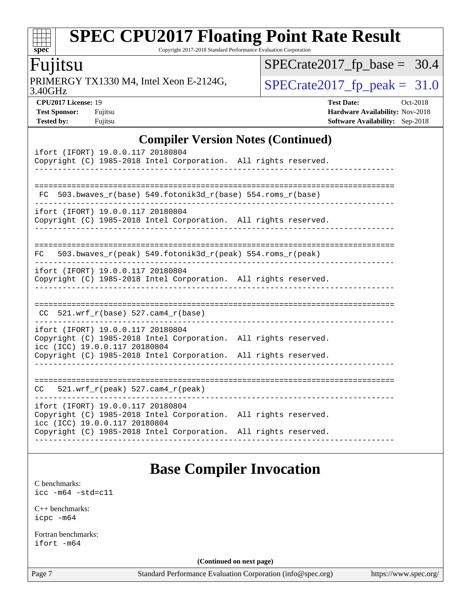Copyright 2017-2018 Standard Performance Evaluation Corporation

### Fujitsu

**[spec](http://www.spec.org/)**

dd h

3.40GHz PRIMERGY TX1330 M4, Intel Xeon E-2124G,  $\big|$  [SPECrate2017\\_fp\\_peak =](http://www.spec.org/auto/cpu2017/Docs/result-fields.html#SPECrate2017fppeak) 31.0

[SPECrate2017\\_fp\\_base =](http://www.spec.org/auto/cpu2017/Docs/result-fields.html#SPECrate2017fpbase) 30.4

**[CPU2017 License:](http://www.spec.org/auto/cpu2017/Docs/result-fields.html#CPU2017License)** 19 **[Test Date:](http://www.spec.org/auto/cpu2017/Docs/result-fields.html#TestDate)** Oct-2018 **[Test Sponsor:](http://www.spec.org/auto/cpu2017/Docs/result-fields.html#TestSponsor)** Fujitsu **Fundal** Fujitsu **[Hardware Availability:](http://www.spec.org/auto/cpu2017/Docs/result-fields.html#HardwareAvailability)** Nov-2018 **[Tested by:](http://www.spec.org/auto/cpu2017/Docs/result-fields.html#Testedby)** Fujitsu **[Software Availability:](http://www.spec.org/auto/cpu2017/Docs/result-fields.html#SoftwareAvailability)** Sep-2018

#### **[Compiler Version Notes \(Continued\)](http://www.spec.org/auto/cpu2017/Docs/result-fields.html#CompilerVersionNotes)**

### **[Base Compiler Invocation](http://www.spec.org/auto/cpu2017/Docs/result-fields.html#BaseCompilerInvocation)**

[C benchmarks](http://www.spec.org/auto/cpu2017/Docs/result-fields.html#Cbenchmarks): [icc -m64 -std=c11](http://www.spec.org/cpu2017/results/res2018q4/cpu2017-20181030-09454.flags.html#user_CCbase_intel_icc_64bit_c11_33ee0cdaae7deeeab2a9725423ba97205ce30f63b9926c2519791662299b76a0318f32ddfffdc46587804de3178b4f9328c46fa7c2b0cd779d7a61945c91cd35)

[C++ benchmarks:](http://www.spec.org/auto/cpu2017/Docs/result-fields.html#CXXbenchmarks) [icpc -m64](http://www.spec.org/cpu2017/results/res2018q4/cpu2017-20181030-09454.flags.html#user_CXXbase_intel_icpc_64bit_4ecb2543ae3f1412ef961e0650ca070fec7b7afdcd6ed48761b84423119d1bf6bdf5cad15b44d48e7256388bc77273b966e5eb805aefd121eb22e9299b2ec9d9)

[Fortran benchmarks](http://www.spec.org/auto/cpu2017/Docs/result-fields.html#Fortranbenchmarks): [ifort -m64](http://www.spec.org/cpu2017/results/res2018q4/cpu2017-20181030-09454.flags.html#user_FCbase_intel_ifort_64bit_24f2bb282fbaeffd6157abe4f878425411749daecae9a33200eee2bee2fe76f3b89351d69a8130dd5949958ce389cf37ff59a95e7a40d588e8d3a57e0c3fd751)

**(Continued on next page)**

Page 7 Standard Performance Evaluation Corporation [\(info@spec.org\)](mailto:info@spec.org) <https://www.spec.org/>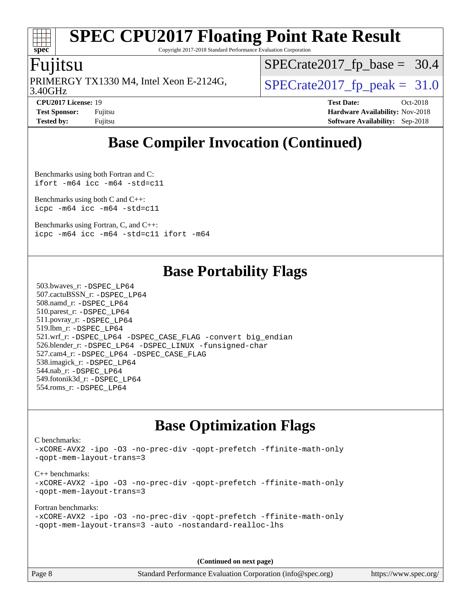Copyright 2017-2018 Standard Performance Evaluation Corporation

#### Fujitsu

**[spec](http://www.spec.org/)**

3.40GHz PRIMERGY TX1330 M4, Intel Xeon E-2124G,  $\vert$  [SPECrate2017\\_fp\\_peak =](http://www.spec.org/auto/cpu2017/Docs/result-fields.html#SPECrate2017fppeak) 31.0

 $SPECrate2017_fp\_base = 30.4$ 

**[CPU2017 License:](http://www.spec.org/auto/cpu2017/Docs/result-fields.html#CPU2017License)** 19 **[Test Date:](http://www.spec.org/auto/cpu2017/Docs/result-fields.html#TestDate)** Oct-2018 **[Test Sponsor:](http://www.spec.org/auto/cpu2017/Docs/result-fields.html#TestSponsor)** Fujitsu **Fundal** Fujitsu **[Hardware Availability:](http://www.spec.org/auto/cpu2017/Docs/result-fields.html#HardwareAvailability)** Nov-2018 **[Tested by:](http://www.spec.org/auto/cpu2017/Docs/result-fields.html#Testedby)** Fujitsu **[Software Availability:](http://www.spec.org/auto/cpu2017/Docs/result-fields.html#SoftwareAvailability)** Sep-2018

### **[Base Compiler Invocation \(Continued\)](http://www.spec.org/auto/cpu2017/Docs/result-fields.html#BaseCompilerInvocation)**

[Benchmarks using both Fortran and C](http://www.spec.org/auto/cpu2017/Docs/result-fields.html#BenchmarksusingbothFortranandC): [ifort -m64](http://www.spec.org/cpu2017/results/res2018q4/cpu2017-20181030-09454.flags.html#user_CC_FCbase_intel_ifort_64bit_24f2bb282fbaeffd6157abe4f878425411749daecae9a33200eee2bee2fe76f3b89351d69a8130dd5949958ce389cf37ff59a95e7a40d588e8d3a57e0c3fd751) [icc -m64 -std=c11](http://www.spec.org/cpu2017/results/res2018q4/cpu2017-20181030-09454.flags.html#user_CC_FCbase_intel_icc_64bit_c11_33ee0cdaae7deeeab2a9725423ba97205ce30f63b9926c2519791662299b76a0318f32ddfffdc46587804de3178b4f9328c46fa7c2b0cd779d7a61945c91cd35)

[Benchmarks using both C and C++](http://www.spec.org/auto/cpu2017/Docs/result-fields.html#BenchmarksusingbothCandCXX): [icpc -m64](http://www.spec.org/cpu2017/results/res2018q4/cpu2017-20181030-09454.flags.html#user_CC_CXXbase_intel_icpc_64bit_4ecb2543ae3f1412ef961e0650ca070fec7b7afdcd6ed48761b84423119d1bf6bdf5cad15b44d48e7256388bc77273b966e5eb805aefd121eb22e9299b2ec9d9) [icc -m64 -std=c11](http://www.spec.org/cpu2017/results/res2018q4/cpu2017-20181030-09454.flags.html#user_CC_CXXbase_intel_icc_64bit_c11_33ee0cdaae7deeeab2a9725423ba97205ce30f63b9926c2519791662299b76a0318f32ddfffdc46587804de3178b4f9328c46fa7c2b0cd779d7a61945c91cd35)

[Benchmarks using Fortran, C, and C++:](http://www.spec.org/auto/cpu2017/Docs/result-fields.html#BenchmarksusingFortranCandCXX) [icpc -m64](http://www.spec.org/cpu2017/results/res2018q4/cpu2017-20181030-09454.flags.html#user_CC_CXX_FCbase_intel_icpc_64bit_4ecb2543ae3f1412ef961e0650ca070fec7b7afdcd6ed48761b84423119d1bf6bdf5cad15b44d48e7256388bc77273b966e5eb805aefd121eb22e9299b2ec9d9) [icc -m64 -std=c11](http://www.spec.org/cpu2017/results/res2018q4/cpu2017-20181030-09454.flags.html#user_CC_CXX_FCbase_intel_icc_64bit_c11_33ee0cdaae7deeeab2a9725423ba97205ce30f63b9926c2519791662299b76a0318f32ddfffdc46587804de3178b4f9328c46fa7c2b0cd779d7a61945c91cd35) [ifort -m64](http://www.spec.org/cpu2017/results/res2018q4/cpu2017-20181030-09454.flags.html#user_CC_CXX_FCbase_intel_ifort_64bit_24f2bb282fbaeffd6157abe4f878425411749daecae9a33200eee2bee2fe76f3b89351d69a8130dd5949958ce389cf37ff59a95e7a40d588e8d3a57e0c3fd751)

### **[Base Portability Flags](http://www.spec.org/auto/cpu2017/Docs/result-fields.html#BasePortabilityFlags)**

 503.bwaves\_r: [-DSPEC\\_LP64](http://www.spec.org/cpu2017/results/res2018q4/cpu2017-20181030-09454.flags.html#suite_basePORTABILITY503_bwaves_r_DSPEC_LP64) 507.cactuBSSN\_r: [-DSPEC\\_LP64](http://www.spec.org/cpu2017/results/res2018q4/cpu2017-20181030-09454.flags.html#suite_basePORTABILITY507_cactuBSSN_r_DSPEC_LP64) 508.namd\_r: [-DSPEC\\_LP64](http://www.spec.org/cpu2017/results/res2018q4/cpu2017-20181030-09454.flags.html#suite_basePORTABILITY508_namd_r_DSPEC_LP64) 510.parest\_r: [-DSPEC\\_LP64](http://www.spec.org/cpu2017/results/res2018q4/cpu2017-20181030-09454.flags.html#suite_basePORTABILITY510_parest_r_DSPEC_LP64) 511.povray\_r: [-DSPEC\\_LP64](http://www.spec.org/cpu2017/results/res2018q4/cpu2017-20181030-09454.flags.html#suite_basePORTABILITY511_povray_r_DSPEC_LP64) 519.lbm\_r: [-DSPEC\\_LP64](http://www.spec.org/cpu2017/results/res2018q4/cpu2017-20181030-09454.flags.html#suite_basePORTABILITY519_lbm_r_DSPEC_LP64) 521.wrf\_r: [-DSPEC\\_LP64](http://www.spec.org/cpu2017/results/res2018q4/cpu2017-20181030-09454.flags.html#suite_basePORTABILITY521_wrf_r_DSPEC_LP64) [-DSPEC\\_CASE\\_FLAG](http://www.spec.org/cpu2017/results/res2018q4/cpu2017-20181030-09454.flags.html#b521.wrf_r_baseCPORTABILITY_DSPEC_CASE_FLAG) [-convert big\\_endian](http://www.spec.org/cpu2017/results/res2018q4/cpu2017-20181030-09454.flags.html#user_baseFPORTABILITY521_wrf_r_convert_big_endian_c3194028bc08c63ac5d04de18c48ce6d347e4e562e8892b8bdbdc0214820426deb8554edfa529a3fb25a586e65a3d812c835984020483e7e73212c4d31a38223) 526.blender\_r: [-DSPEC\\_LP64](http://www.spec.org/cpu2017/results/res2018q4/cpu2017-20181030-09454.flags.html#suite_basePORTABILITY526_blender_r_DSPEC_LP64) [-DSPEC\\_LINUX](http://www.spec.org/cpu2017/results/res2018q4/cpu2017-20181030-09454.flags.html#b526.blender_r_baseCPORTABILITY_DSPEC_LINUX) [-funsigned-char](http://www.spec.org/cpu2017/results/res2018q4/cpu2017-20181030-09454.flags.html#user_baseCPORTABILITY526_blender_r_force_uchar_40c60f00ab013830e2dd6774aeded3ff59883ba5a1fc5fc14077f794d777847726e2a5858cbc7672e36e1b067e7e5c1d9a74f7176df07886a243d7cc18edfe67) 527.cam4\_r: [-DSPEC\\_LP64](http://www.spec.org/cpu2017/results/res2018q4/cpu2017-20181030-09454.flags.html#suite_basePORTABILITY527_cam4_r_DSPEC_LP64) [-DSPEC\\_CASE\\_FLAG](http://www.spec.org/cpu2017/results/res2018q4/cpu2017-20181030-09454.flags.html#b527.cam4_r_baseCPORTABILITY_DSPEC_CASE_FLAG) 538.imagick\_r: [-DSPEC\\_LP64](http://www.spec.org/cpu2017/results/res2018q4/cpu2017-20181030-09454.flags.html#suite_basePORTABILITY538_imagick_r_DSPEC_LP64) 544.nab\_r: [-DSPEC\\_LP64](http://www.spec.org/cpu2017/results/res2018q4/cpu2017-20181030-09454.flags.html#suite_basePORTABILITY544_nab_r_DSPEC_LP64) 549.fotonik3d\_r: [-DSPEC\\_LP64](http://www.spec.org/cpu2017/results/res2018q4/cpu2017-20181030-09454.flags.html#suite_basePORTABILITY549_fotonik3d_r_DSPEC_LP64) 554.roms\_r: [-DSPEC\\_LP64](http://www.spec.org/cpu2017/results/res2018q4/cpu2017-20181030-09454.flags.html#suite_basePORTABILITY554_roms_r_DSPEC_LP64)

### **[Base Optimization Flags](http://www.spec.org/auto/cpu2017/Docs/result-fields.html#BaseOptimizationFlags)**

[C benchmarks](http://www.spec.org/auto/cpu2017/Docs/result-fields.html#Cbenchmarks):

[-xCORE-AVX2](http://www.spec.org/cpu2017/results/res2018q4/cpu2017-20181030-09454.flags.html#user_CCbase_f-xCORE-AVX2) [-ipo](http://www.spec.org/cpu2017/results/res2018q4/cpu2017-20181030-09454.flags.html#user_CCbase_f-ipo) [-O3](http://www.spec.org/cpu2017/results/res2018q4/cpu2017-20181030-09454.flags.html#user_CCbase_f-O3) [-no-prec-div](http://www.spec.org/cpu2017/results/res2018q4/cpu2017-20181030-09454.flags.html#user_CCbase_f-no-prec-div) [-qopt-prefetch](http://www.spec.org/cpu2017/results/res2018q4/cpu2017-20181030-09454.flags.html#user_CCbase_f-qopt-prefetch) [-ffinite-math-only](http://www.spec.org/cpu2017/results/res2018q4/cpu2017-20181030-09454.flags.html#user_CCbase_f_finite_math_only_cb91587bd2077682c4b38af759c288ed7c732db004271a9512da14a4f8007909a5f1427ecbf1a0fb78ff2a814402c6114ac565ca162485bbcae155b5e4258871) [-qopt-mem-layout-trans=3](http://www.spec.org/cpu2017/results/res2018q4/cpu2017-20181030-09454.flags.html#user_CCbase_f-qopt-mem-layout-trans_de80db37974c74b1f0e20d883f0b675c88c3b01e9d123adea9b28688d64333345fb62bc4a798493513fdb68f60282f9a726aa07f478b2f7113531aecce732043) [C++ benchmarks:](http://www.spec.org/auto/cpu2017/Docs/result-fields.html#CXXbenchmarks) [-xCORE-AVX2](http://www.spec.org/cpu2017/results/res2018q4/cpu2017-20181030-09454.flags.html#user_CXXbase_f-xCORE-AVX2) [-ipo](http://www.spec.org/cpu2017/results/res2018q4/cpu2017-20181030-09454.flags.html#user_CXXbase_f-ipo) [-O3](http://www.spec.org/cpu2017/results/res2018q4/cpu2017-20181030-09454.flags.html#user_CXXbase_f-O3) [-no-prec-div](http://www.spec.org/cpu2017/results/res2018q4/cpu2017-20181030-09454.flags.html#user_CXXbase_f-no-prec-div) [-qopt-prefetch](http://www.spec.org/cpu2017/results/res2018q4/cpu2017-20181030-09454.flags.html#user_CXXbase_f-qopt-prefetch) [-ffinite-math-only](http://www.spec.org/cpu2017/results/res2018q4/cpu2017-20181030-09454.flags.html#user_CXXbase_f_finite_math_only_cb91587bd2077682c4b38af759c288ed7c732db004271a9512da14a4f8007909a5f1427ecbf1a0fb78ff2a814402c6114ac565ca162485bbcae155b5e4258871) [-qopt-mem-layout-trans=3](http://www.spec.org/cpu2017/results/res2018q4/cpu2017-20181030-09454.flags.html#user_CXXbase_f-qopt-mem-layout-trans_de80db37974c74b1f0e20d883f0b675c88c3b01e9d123adea9b28688d64333345fb62bc4a798493513fdb68f60282f9a726aa07f478b2f7113531aecce732043) [Fortran benchmarks](http://www.spec.org/auto/cpu2017/Docs/result-fields.html#Fortranbenchmarks):

```
-xCORE-AVX2 -ipo -O3 -no-prec-div -qopt-prefetch -ffinite-math-only
-qopt-mem-layout-trans=3 -auto -nostandard-realloc-lhs
```
**(Continued on next page)**

Page 8 Standard Performance Evaluation Corporation [\(info@spec.org\)](mailto:info@spec.org) <https://www.spec.org/>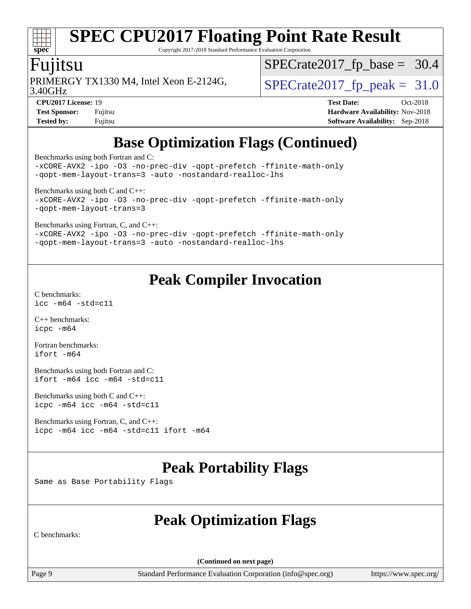# **[spec](http://www.spec.org/)**

# **[SPEC CPU2017 Floating Point Rate Result](http://www.spec.org/auto/cpu2017/Docs/result-fields.html#SPECCPU2017FloatingPointRateResult)**

Copyright 2017-2018 Standard Performance Evaluation Corporation

#### Fujitsu

3.40GHz PRIMERGY TX1330 M4, Intel Xeon E-2124G,  $\vert$  [SPECrate2017\\_fp\\_peak =](http://www.spec.org/auto/cpu2017/Docs/result-fields.html#SPECrate2017fppeak) 31.0

 $SPECrate2017_fp\_base = 30.4$ 

**[CPU2017 License:](http://www.spec.org/auto/cpu2017/Docs/result-fields.html#CPU2017License)** 19 **[Test Date:](http://www.spec.org/auto/cpu2017/Docs/result-fields.html#TestDate)** Oct-2018 **[Test Sponsor:](http://www.spec.org/auto/cpu2017/Docs/result-fields.html#TestSponsor)** Fujitsu **[Hardware Availability:](http://www.spec.org/auto/cpu2017/Docs/result-fields.html#HardwareAvailability)** Nov-2018 **[Tested by:](http://www.spec.org/auto/cpu2017/Docs/result-fields.html#Testedby)** Fujitsu **[Software Availability:](http://www.spec.org/auto/cpu2017/Docs/result-fields.html#SoftwareAvailability)** Sep-2018

# **[Base Optimization Flags \(Continued\)](http://www.spec.org/auto/cpu2017/Docs/result-fields.html#BaseOptimizationFlags)**

[Benchmarks using both Fortran and C](http://www.spec.org/auto/cpu2017/Docs/result-fields.html#BenchmarksusingbothFortranandC):

[-xCORE-AVX2](http://www.spec.org/cpu2017/results/res2018q4/cpu2017-20181030-09454.flags.html#user_CC_FCbase_f-xCORE-AVX2) [-ipo](http://www.spec.org/cpu2017/results/res2018q4/cpu2017-20181030-09454.flags.html#user_CC_FCbase_f-ipo) [-O3](http://www.spec.org/cpu2017/results/res2018q4/cpu2017-20181030-09454.flags.html#user_CC_FCbase_f-O3) [-no-prec-div](http://www.spec.org/cpu2017/results/res2018q4/cpu2017-20181030-09454.flags.html#user_CC_FCbase_f-no-prec-div) [-qopt-prefetch](http://www.spec.org/cpu2017/results/res2018q4/cpu2017-20181030-09454.flags.html#user_CC_FCbase_f-qopt-prefetch) [-ffinite-math-only](http://www.spec.org/cpu2017/results/res2018q4/cpu2017-20181030-09454.flags.html#user_CC_FCbase_f_finite_math_only_cb91587bd2077682c4b38af759c288ed7c732db004271a9512da14a4f8007909a5f1427ecbf1a0fb78ff2a814402c6114ac565ca162485bbcae155b5e4258871) [-qopt-mem-layout-trans=3](http://www.spec.org/cpu2017/results/res2018q4/cpu2017-20181030-09454.flags.html#user_CC_FCbase_f-qopt-mem-layout-trans_de80db37974c74b1f0e20d883f0b675c88c3b01e9d123adea9b28688d64333345fb62bc4a798493513fdb68f60282f9a726aa07f478b2f7113531aecce732043) [-auto](http://www.spec.org/cpu2017/results/res2018q4/cpu2017-20181030-09454.flags.html#user_CC_FCbase_f-auto) [-nostandard-realloc-lhs](http://www.spec.org/cpu2017/results/res2018q4/cpu2017-20181030-09454.flags.html#user_CC_FCbase_f_2003_std_realloc_82b4557e90729c0f113870c07e44d33d6f5a304b4f63d4c15d2d0f1fab99f5daaed73bdb9275d9ae411527f28b936061aa8b9c8f2d63842963b95c9dd6426b8a)

[Benchmarks using both C and C++](http://www.spec.org/auto/cpu2017/Docs/result-fields.html#BenchmarksusingbothCandCXX): [-xCORE-AVX2](http://www.spec.org/cpu2017/results/res2018q4/cpu2017-20181030-09454.flags.html#user_CC_CXXbase_f-xCORE-AVX2) [-ipo](http://www.spec.org/cpu2017/results/res2018q4/cpu2017-20181030-09454.flags.html#user_CC_CXXbase_f-ipo) [-O3](http://www.spec.org/cpu2017/results/res2018q4/cpu2017-20181030-09454.flags.html#user_CC_CXXbase_f-O3) [-no-prec-div](http://www.spec.org/cpu2017/results/res2018q4/cpu2017-20181030-09454.flags.html#user_CC_CXXbase_f-no-prec-div) [-qopt-prefetch](http://www.spec.org/cpu2017/results/res2018q4/cpu2017-20181030-09454.flags.html#user_CC_CXXbase_f-qopt-prefetch) [-ffinite-math-only](http://www.spec.org/cpu2017/results/res2018q4/cpu2017-20181030-09454.flags.html#user_CC_CXXbase_f_finite_math_only_cb91587bd2077682c4b38af759c288ed7c732db004271a9512da14a4f8007909a5f1427ecbf1a0fb78ff2a814402c6114ac565ca162485bbcae155b5e4258871)

[-qopt-mem-layout-trans=3](http://www.spec.org/cpu2017/results/res2018q4/cpu2017-20181030-09454.flags.html#user_CC_CXXbase_f-qopt-mem-layout-trans_de80db37974c74b1f0e20d883f0b675c88c3b01e9d123adea9b28688d64333345fb62bc4a798493513fdb68f60282f9a726aa07f478b2f7113531aecce732043)

[Benchmarks using Fortran, C, and C++:](http://www.spec.org/auto/cpu2017/Docs/result-fields.html#BenchmarksusingFortranCandCXX)

[-xCORE-AVX2](http://www.spec.org/cpu2017/results/res2018q4/cpu2017-20181030-09454.flags.html#user_CC_CXX_FCbase_f-xCORE-AVX2) [-ipo](http://www.spec.org/cpu2017/results/res2018q4/cpu2017-20181030-09454.flags.html#user_CC_CXX_FCbase_f-ipo) [-O3](http://www.spec.org/cpu2017/results/res2018q4/cpu2017-20181030-09454.flags.html#user_CC_CXX_FCbase_f-O3) [-no-prec-div](http://www.spec.org/cpu2017/results/res2018q4/cpu2017-20181030-09454.flags.html#user_CC_CXX_FCbase_f-no-prec-div) [-qopt-prefetch](http://www.spec.org/cpu2017/results/res2018q4/cpu2017-20181030-09454.flags.html#user_CC_CXX_FCbase_f-qopt-prefetch) [-ffinite-math-only](http://www.spec.org/cpu2017/results/res2018q4/cpu2017-20181030-09454.flags.html#user_CC_CXX_FCbase_f_finite_math_only_cb91587bd2077682c4b38af759c288ed7c732db004271a9512da14a4f8007909a5f1427ecbf1a0fb78ff2a814402c6114ac565ca162485bbcae155b5e4258871) [-qopt-mem-layout-trans=3](http://www.spec.org/cpu2017/results/res2018q4/cpu2017-20181030-09454.flags.html#user_CC_CXX_FCbase_f-qopt-mem-layout-trans_de80db37974c74b1f0e20d883f0b675c88c3b01e9d123adea9b28688d64333345fb62bc4a798493513fdb68f60282f9a726aa07f478b2f7113531aecce732043) [-auto](http://www.spec.org/cpu2017/results/res2018q4/cpu2017-20181030-09454.flags.html#user_CC_CXX_FCbase_f-auto) [-nostandard-realloc-lhs](http://www.spec.org/cpu2017/results/res2018q4/cpu2017-20181030-09454.flags.html#user_CC_CXX_FCbase_f_2003_std_realloc_82b4557e90729c0f113870c07e44d33d6f5a304b4f63d4c15d2d0f1fab99f5daaed73bdb9275d9ae411527f28b936061aa8b9c8f2d63842963b95c9dd6426b8a)

### **[Peak Compiler Invocation](http://www.spec.org/auto/cpu2017/Docs/result-fields.html#PeakCompilerInvocation)**

[C benchmarks](http://www.spec.org/auto/cpu2017/Docs/result-fields.html#Cbenchmarks): [icc -m64 -std=c11](http://www.spec.org/cpu2017/results/res2018q4/cpu2017-20181030-09454.flags.html#user_CCpeak_intel_icc_64bit_c11_33ee0cdaae7deeeab2a9725423ba97205ce30f63b9926c2519791662299b76a0318f32ddfffdc46587804de3178b4f9328c46fa7c2b0cd779d7a61945c91cd35)

[C++ benchmarks:](http://www.spec.org/auto/cpu2017/Docs/result-fields.html#CXXbenchmarks) [icpc -m64](http://www.spec.org/cpu2017/results/res2018q4/cpu2017-20181030-09454.flags.html#user_CXXpeak_intel_icpc_64bit_4ecb2543ae3f1412ef961e0650ca070fec7b7afdcd6ed48761b84423119d1bf6bdf5cad15b44d48e7256388bc77273b966e5eb805aefd121eb22e9299b2ec9d9)

[Fortran benchmarks](http://www.spec.org/auto/cpu2017/Docs/result-fields.html#Fortranbenchmarks): [ifort -m64](http://www.spec.org/cpu2017/results/res2018q4/cpu2017-20181030-09454.flags.html#user_FCpeak_intel_ifort_64bit_24f2bb282fbaeffd6157abe4f878425411749daecae9a33200eee2bee2fe76f3b89351d69a8130dd5949958ce389cf37ff59a95e7a40d588e8d3a57e0c3fd751)

[Benchmarks using both Fortran and C](http://www.spec.org/auto/cpu2017/Docs/result-fields.html#BenchmarksusingbothFortranandC): [ifort -m64](http://www.spec.org/cpu2017/results/res2018q4/cpu2017-20181030-09454.flags.html#user_CC_FCpeak_intel_ifort_64bit_24f2bb282fbaeffd6157abe4f878425411749daecae9a33200eee2bee2fe76f3b89351d69a8130dd5949958ce389cf37ff59a95e7a40d588e8d3a57e0c3fd751) [icc -m64 -std=c11](http://www.spec.org/cpu2017/results/res2018q4/cpu2017-20181030-09454.flags.html#user_CC_FCpeak_intel_icc_64bit_c11_33ee0cdaae7deeeab2a9725423ba97205ce30f63b9926c2519791662299b76a0318f32ddfffdc46587804de3178b4f9328c46fa7c2b0cd779d7a61945c91cd35)

[Benchmarks using both C and C++](http://www.spec.org/auto/cpu2017/Docs/result-fields.html#BenchmarksusingbothCandCXX): [icpc -m64](http://www.spec.org/cpu2017/results/res2018q4/cpu2017-20181030-09454.flags.html#user_CC_CXXpeak_intel_icpc_64bit_4ecb2543ae3f1412ef961e0650ca070fec7b7afdcd6ed48761b84423119d1bf6bdf5cad15b44d48e7256388bc77273b966e5eb805aefd121eb22e9299b2ec9d9) [icc -m64 -std=c11](http://www.spec.org/cpu2017/results/res2018q4/cpu2017-20181030-09454.flags.html#user_CC_CXXpeak_intel_icc_64bit_c11_33ee0cdaae7deeeab2a9725423ba97205ce30f63b9926c2519791662299b76a0318f32ddfffdc46587804de3178b4f9328c46fa7c2b0cd779d7a61945c91cd35)

[Benchmarks using Fortran, C, and C++:](http://www.spec.org/auto/cpu2017/Docs/result-fields.html#BenchmarksusingFortranCandCXX) [icpc -m64](http://www.spec.org/cpu2017/results/res2018q4/cpu2017-20181030-09454.flags.html#user_CC_CXX_FCpeak_intel_icpc_64bit_4ecb2543ae3f1412ef961e0650ca070fec7b7afdcd6ed48761b84423119d1bf6bdf5cad15b44d48e7256388bc77273b966e5eb805aefd121eb22e9299b2ec9d9) [icc -m64 -std=c11](http://www.spec.org/cpu2017/results/res2018q4/cpu2017-20181030-09454.flags.html#user_CC_CXX_FCpeak_intel_icc_64bit_c11_33ee0cdaae7deeeab2a9725423ba97205ce30f63b9926c2519791662299b76a0318f32ddfffdc46587804de3178b4f9328c46fa7c2b0cd779d7a61945c91cd35) [ifort -m64](http://www.spec.org/cpu2017/results/res2018q4/cpu2017-20181030-09454.flags.html#user_CC_CXX_FCpeak_intel_ifort_64bit_24f2bb282fbaeffd6157abe4f878425411749daecae9a33200eee2bee2fe76f3b89351d69a8130dd5949958ce389cf37ff59a95e7a40d588e8d3a57e0c3fd751)

### **[Peak Portability Flags](http://www.spec.org/auto/cpu2017/Docs/result-fields.html#PeakPortabilityFlags)**

Same as Base Portability Flags

### **[Peak Optimization Flags](http://www.spec.org/auto/cpu2017/Docs/result-fields.html#PeakOptimizationFlags)**

[C benchmarks:](http://www.spec.org/auto/cpu2017/Docs/result-fields.html#Cbenchmarks)

**(Continued on next page)**

Page 9 Standard Performance Evaluation Corporation [\(info@spec.org\)](mailto:info@spec.org) <https://www.spec.org/>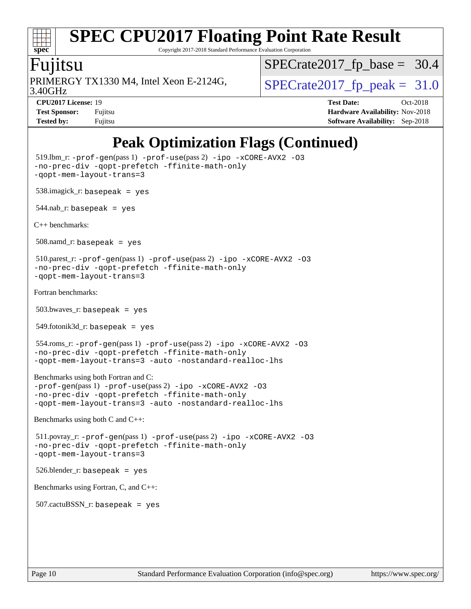#### $\pm t$ **[spec](http://www.spec.org/)**

# **[SPEC CPU2017 Floating Point Rate Result](http://www.spec.org/auto/cpu2017/Docs/result-fields.html#SPECCPU2017FloatingPointRateResult)**

Copyright 2017-2018 Standard Performance Evaluation Corporation

#### Fujitsu

3.40GHz PRIMERGY TX1330 M4, Intel Xeon E-2124G,  $\vert$  [SPECrate2017\\_fp\\_peak =](http://www.spec.org/auto/cpu2017/Docs/result-fields.html#SPECrate2017fppeak) 31.0

 $SPECrate2017_fp\_base = 30.4$ 

**[Tested by:](http://www.spec.org/auto/cpu2017/Docs/result-fields.html#Testedby)** Fujitsu **[Software Availability:](http://www.spec.org/auto/cpu2017/Docs/result-fields.html#SoftwareAvailability)** Sep-2018

**[CPU2017 License:](http://www.spec.org/auto/cpu2017/Docs/result-fields.html#CPU2017License)** 19 **[Test Date:](http://www.spec.org/auto/cpu2017/Docs/result-fields.html#TestDate)** Oct-2018 **[Test Sponsor:](http://www.spec.org/auto/cpu2017/Docs/result-fields.html#TestSponsor)** Fujitsu **[Hardware Availability:](http://www.spec.org/auto/cpu2017/Docs/result-fields.html#HardwareAvailability)** Nov-2018

## **[Peak Optimization Flags \(Continued\)](http://www.spec.org/auto/cpu2017/Docs/result-fields.html#PeakOptimizationFlags)**

```
 519.lbm_r: -prof-gen(pass 1) -prof-use(pass 2) -ipo -xCORE-AVX2 -O3
-no-prec-div -qopt-prefetch -ffinite-math-only
-qopt-mem-layout-trans=3
 538.imagick_r: basepeak = yes
544.nab_r: basepeak = yes
C++ benchmarks: 
 508.namd_r: basepeak = yes
 510.parest_r: -prof-gen(pass 1) -prof-use(pass 2) -ipo -xCORE-AVX2 -O3
-no-prec-div -qopt-prefetch -ffinite-math-only
-qopt-mem-layout-trans=3
Fortran benchmarks: 
 503.bwaves_r: basepeak = yes
 549.fotonik3d_r: basepeak = yes
 554.roms_r: -prof-gen(pass 1) -prof-use(pass 2) -ipo -xCORE-AVX2 -O3
-no-prec-div -qopt-prefetch -ffinite-math-only
-qopt-mem-layout-trans=3 -auto -nostandard-realloc-lhs
Benchmarks using both Fortran and C: 
-prof-gen(pass 1) -prof-use(pass 2) -ipo -xCORE-AVX2 -O3
-no-prec-div -qopt-prefetch -ffinite-math-only
-qopt-mem-layout-trans=3 -auto -nostandard-realloc-lhs
Benchmarks using both C and C++: 
 511.povray_r: -prof-gen(pass 1) -prof-use(pass 2) -ipo -xCORE-AVX2 -O3
-no-prec-div -qopt-prefetch -ffinite-math-only
-qopt-mem-layout-trans=3
 526.blender_r: basepeak = yes
Benchmarks using Fortran, C, and C++: 
507.cactuBSSN r: basepeak = yes
```